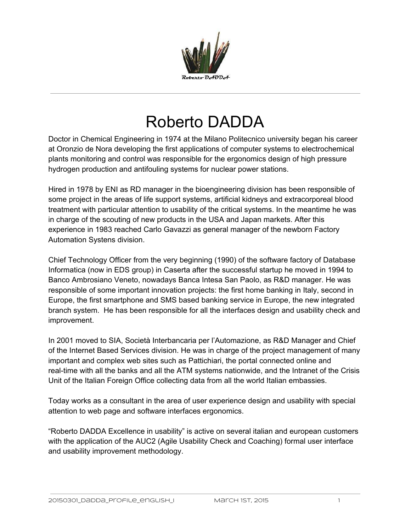

## Roberto DADDA

Doctor in Chemical Engineering in 1974 at the Milano Politecnico university began his career at Oronzio de Nora developing the first applications of computer systems to electrochemical plants monitoring and control was responsible for the ergonomics design of high pressure hydrogen production and antifouling systems for nuclear power stations.

Hired in 1978 by ENI as RD manager in the bioengineering division has been responsible of some project in the areas of life support systems, artificial kidneys and extracorporeal blood treatment with particular attention to usability of the critical systems. In the meantime he was in charge of the scouting of new products in the USA and Japan markets. After this experience in 1983 reached Carlo Gavazzi as general manager of the newborn Factory Automation Systens division.

Chief Technology Officer from the very beginning (1990) of the software factory of Database Informatica (now in EDS group) in Caserta after the successful startup he moved in 1994 to Banco Ambrosiano Veneto, nowadays Banca Intesa San Paolo, as R&D manager. He was responsible of some important innovation projects: the first home banking in Italy, second in Europe, the first smartphone and SMS based banking service in Europe, the new integrated branch system. He has been responsible for all the interfaces design and usability check and improvement.

In 2001 moved to SIA, Società Interbancaria per l'Automazione, as R&D Manager and Chief of the Internet Based Services division. He was in charge of the project management of many important and complex web sites such as Pattichiari, the portal connected online and real-time with all the banks and all the ATM systems nationwide, and the Intranet of the Crisis Unit of the Italian Foreign Office collecting data from all the world Italian embassies.

Today works as a consultant in the area of user experience design and usability with special attention to web page and software interfaces ergonomics.

"Roberto DADDA Excellence in usability" is active on several italian and european customers with the application of the AUC2 (Agile Usability Check and Coaching) formal user interface and usability improvement methodology.